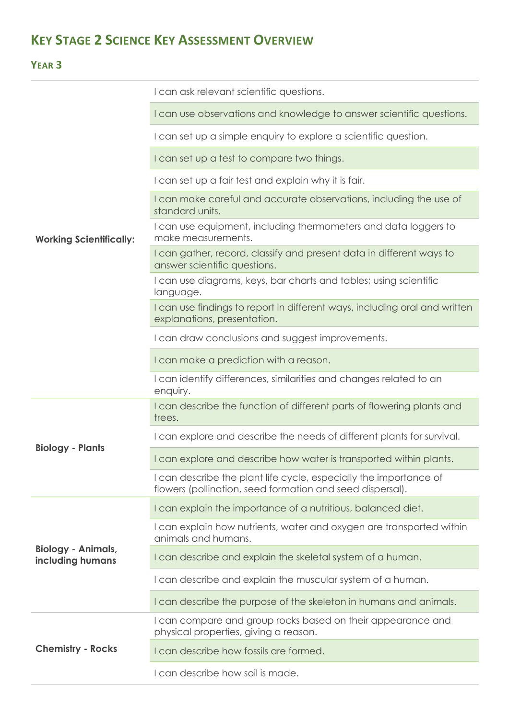## **KEY STAGE 2 SCIENCE KEY ASSESSMENT OVERVIEW**

## **YEAR 3**

| <b>Working Scientifically:</b>                | I can ask relevant scientific questions.                                                                                       |
|-----------------------------------------------|--------------------------------------------------------------------------------------------------------------------------------|
|                                               | I can use observations and knowledge to answer scientific questions.                                                           |
|                                               | I can set up a simple enquiry to explore a scientific question.                                                                |
|                                               | I can set up a test to compare two things.                                                                                     |
|                                               | I can set up a fair test and explain why it is fair.                                                                           |
|                                               | I can make careful and accurate observations, including the use of<br>standard units.                                          |
|                                               | I can use equipment, including thermometers and data loggers to<br>make measurements.                                          |
|                                               | I can gather, record, classify and present data in different ways to<br>answer scientific questions.                           |
|                                               | I can use diagrams, keys, bar charts and tables; using scientific<br>language.                                                 |
|                                               | I can use findings to report in different ways, including oral and written<br>explanations, presentation.                      |
|                                               | I can draw conclusions and suggest improvements.                                                                               |
|                                               | I can make a prediction with a reason.                                                                                         |
|                                               | I can identify differences, similarities and changes related to an<br>enquiry.                                                 |
|                                               | I can describe the function of different parts of flowering plants and<br>trees.                                               |
|                                               | I can explore and describe the needs of different plants for survival.                                                         |
| <b>Biology - Plants</b>                       | I can explore and describe how water is transported within plants.                                                             |
|                                               | I can describe the plant life cycle, especially the importance of<br>flowers (pollination, seed formation and seed dispersal). |
| <b>Biology - Animals,</b><br>including humans | I can explain the importance of a nutritious, balanced diet.                                                                   |
|                                               | I can explain how nutrients, water and oxygen are transported within<br>animals and humans.                                    |
|                                               | I can describe and explain the skeletal system of a human.                                                                     |
|                                               | I can describe and explain the muscular system of a human.                                                                     |
|                                               | I can describe the purpose of the skeleton in humans and animals.                                                              |
| <b>Chemistry - Rocks</b>                      | I can compare and group rocks based on their appearance and<br>physical properties, giving a reason.                           |
|                                               | I can describe how fossils are formed.                                                                                         |
|                                               | I can describe how soil is made.                                                                                               |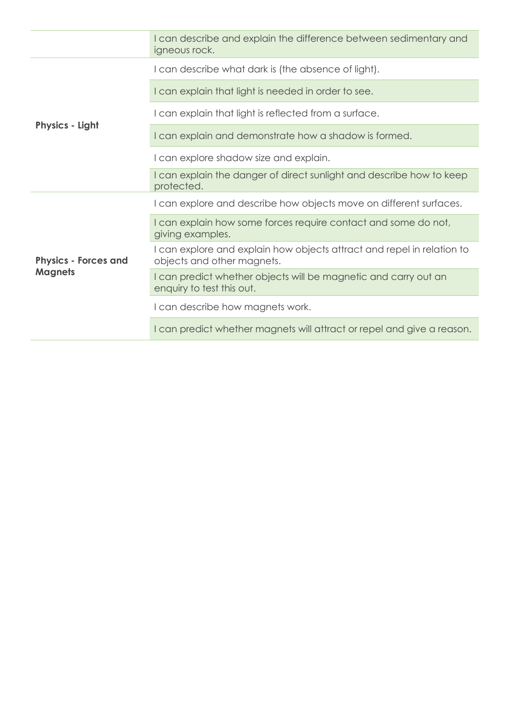|                                               | I can describe and explain the difference between sedimentary and<br>igneous rock.                   |
|-----------------------------------------------|------------------------------------------------------------------------------------------------------|
| <b>Physics - Light</b>                        | I can describe what dark is (the absence of light).                                                  |
|                                               | I can explain that light is needed in order to see.                                                  |
|                                               | I can explain that light is reflected from a surface.                                                |
|                                               | I can explain and demonstrate how a shadow is formed.                                                |
|                                               | I can explore shadow size and explain.                                                               |
|                                               | I can explain the danger of direct sunlight and describe how to keep<br>protected.                   |
| <b>Physics - Forces and</b><br><b>Magnets</b> | I can explore and describe how objects move on different surfaces.                                   |
|                                               | I can explain how some forces require contact and some do not,<br>giving examples.                   |
|                                               | I can explore and explain how objects attract and repel in relation to<br>objects and other magnets. |
|                                               | I can predict whether objects will be magnetic and carry out an<br>enquiry to test this out.         |
|                                               | I can describe how magnets work.                                                                     |
|                                               | I can predict whether magnets will attract or repel and give a reason.                               |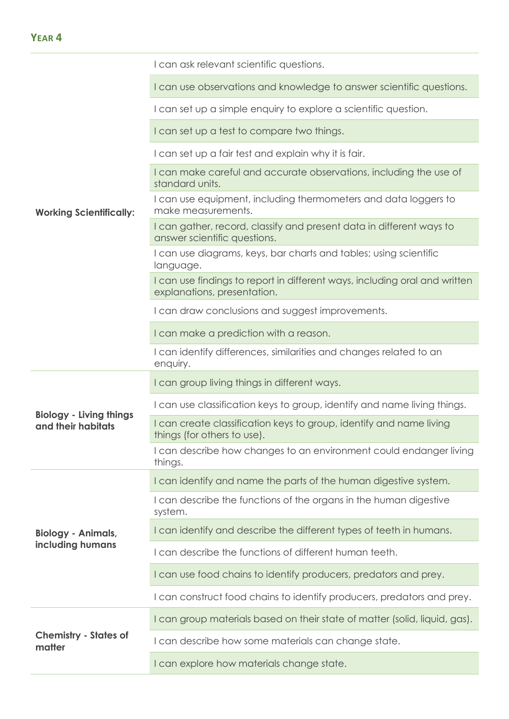## **YEAR 4**

|                                        | I can ask relevant scientific questions.                                                                  |
|----------------------------------------|-----------------------------------------------------------------------------------------------------------|
|                                        | I can use observations and knowledge to answer scientific questions.                                      |
|                                        | I can set up a simple enquiry to explore a scientific question.                                           |
|                                        | I can set up a test to compare two things.                                                                |
|                                        | I can set up a fair test and explain why it is fair.                                                      |
|                                        | I can make careful and accurate observations, including the use of<br>standard units.                     |
| <b>Working Scientifically:</b>         | I can use equipment, including thermometers and data loggers to<br>make measurements.                     |
|                                        | I can gather, record, classify and present data in different ways to<br>answer scientific questions.      |
|                                        | I can use diagrams, keys, bar charts and tables; using scientific<br>language.                            |
|                                        | I can use findings to report in different ways, including oral and written<br>explanations, presentation. |
|                                        | I can draw conclusions and suggest improvements.                                                          |
|                                        | I can make a prediction with a reason.                                                                    |
|                                        | I can identify differences, similarities and changes related to an<br>enquiry.                            |
|                                        | I can group living things in different ways.                                                              |
| <b>Biology - Living things</b>         | I can use classification keys to group, identify and name living things.                                  |
| and their habitats                     | I can create classification keys to group, identify and name living<br>things (for others to use).        |
|                                        | I can describe how changes to an environment could endanger living<br>things.                             |
|                                        | I can identify and name the parts of the human digestive system.                                          |
|                                        | I can describe the functions of the organs in the human digestive<br>system.                              |
| <b>Biology - Animals,</b>              | I can identify and describe the different types of teeth in humans.                                       |
| including humans                       | I can describe the functions of different human teeth.                                                    |
|                                        | I can use food chains to identify producers, predators and prey.                                          |
|                                        | I can construct food chains to identify producers, predators and prey.                                    |
|                                        | I can group materials based on their state of matter (solid, liquid, gas).                                |
| <b>Chemistry - States of</b><br>matter | I can describe how some materials can change state.                                                       |
|                                        | I can explore how materials change state.                                                                 |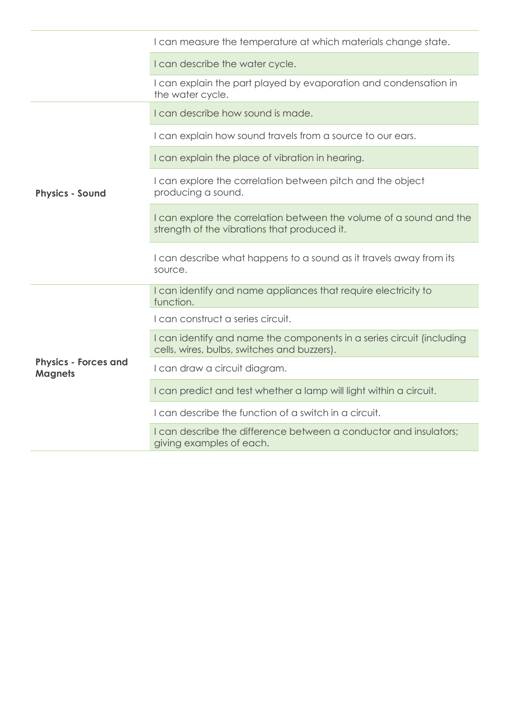|                                               | I can measure the temperature at which materials change state.                                                       |
|-----------------------------------------------|----------------------------------------------------------------------------------------------------------------------|
|                                               | I can describe the water cycle.                                                                                      |
|                                               | I can explain the part played by evaporation and condensation in<br>the water cycle.                                 |
| <b>Physics - Sound</b>                        | I can describe how sound is made.                                                                                    |
|                                               | I can explain how sound travels from a source to our ears.                                                           |
|                                               | I can explain the place of vibration in hearing.                                                                     |
|                                               | I can explore the correlation between pitch and the object<br>producing a sound.                                     |
|                                               | I can explore the correlation between the volume of a sound and the<br>strength of the vibrations that produced it.  |
|                                               | I can describe what happens to a sound as it travels away from its<br>source.                                        |
|                                               | I can identify and name appliances that require electricity to<br>function.                                          |
|                                               | I can construct a series circuit.                                                                                    |
|                                               | I can identify and name the components in a series circuit (including<br>cells, wires, bulbs, switches and buzzers). |
| <b>Physics - Forces and</b><br><b>Magnets</b> | I can draw a circuit diagram.                                                                                        |
|                                               | I can predict and test whether a lamp will light within a circuit.                                                   |
|                                               | I can describe the function of a switch in a circuit.                                                                |
|                                               | I can describe the difference between a conductor and insulators;<br>giving examples of each.                        |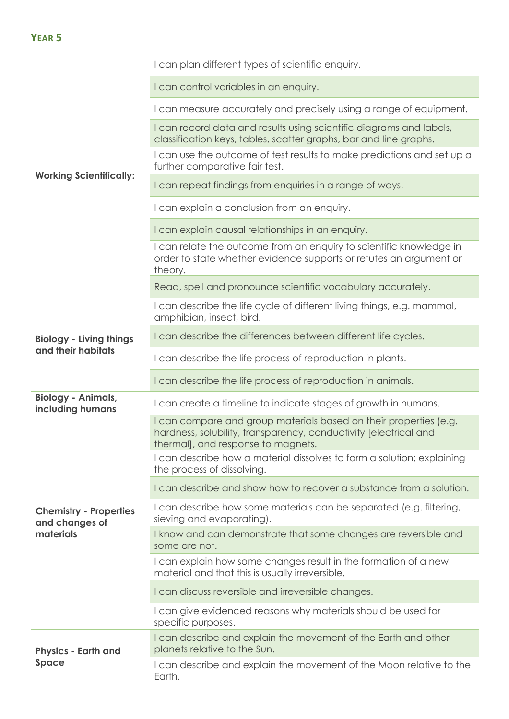| <b>Working Scientifically:</b>                | I can plan different types of scientific enquiry.                                                                                                                           |
|-----------------------------------------------|-----------------------------------------------------------------------------------------------------------------------------------------------------------------------------|
|                                               | I can control variables in an enquiry.                                                                                                                                      |
|                                               | I can measure accurately and precisely using a range of equipment.                                                                                                          |
|                                               | I can record data and results using scientific diagrams and labels,<br>classification keys, tables, scatter graphs, bar and line graphs.                                    |
|                                               | I can use the outcome of test results to make predictions and set up a<br>further comparative fair test.                                                                    |
|                                               | I can repeat findings from enquiries in a range of ways.                                                                                                                    |
|                                               | I can explain a conclusion from an enquiry.                                                                                                                                 |
|                                               | I can explain causal relationships in an enquiry.                                                                                                                           |
|                                               | I can relate the outcome from an enquiry to scientific knowledge in<br>order to state whether evidence supports or refutes an argument or<br>theory.                        |
|                                               | Read, spell and pronounce scientific vocabulary accurately.                                                                                                                 |
|                                               | I can describe the life cycle of different living things, e.g. mammal,<br>amphibian, insect, bird.                                                                          |
| <b>Biology - Living things</b>                | I can describe the differences between different life cycles.                                                                                                               |
| and their habitats                            | I can describe the life process of reproduction in plants.                                                                                                                  |
|                                               |                                                                                                                                                                             |
|                                               | I can describe the life process of reproduction in animals.                                                                                                                 |
| <b>Biology - Animals,</b><br>including humans | I can create a timeline to indicate stages of growth in humans.                                                                                                             |
|                                               | I can compare and group materials based on their properties (e.g.<br>hardness, solubility, transparency, conductivity [electrical and<br>thermal], and response to magnets. |
|                                               | I can describe how a material dissolves to form a solution; explaining<br>the process of dissolving.                                                                        |
|                                               | I can describe and show how to recover a substance from a solution.                                                                                                         |
| <b>Chemistry - Properties</b>                 | I can describe how some materials can be separated (e.g. filtering,<br>sieving and evaporating).                                                                            |
| and changes of<br>materials                   | I know and can demonstrate that some changes are reversible and<br>some are not.                                                                                            |
|                                               | I can explain how some changes result in the formation of a new<br>material and that this is usually irreversible.                                                          |
|                                               | I can discuss reversible and irreversible changes.                                                                                                                          |
|                                               | I can give evidenced reasons why materials should be used for<br>specific purposes.                                                                                         |
| <b>Physics - Earth and</b>                    | I can describe and explain the movement of the Earth and other<br>planets relative to the Sun.                                                                              |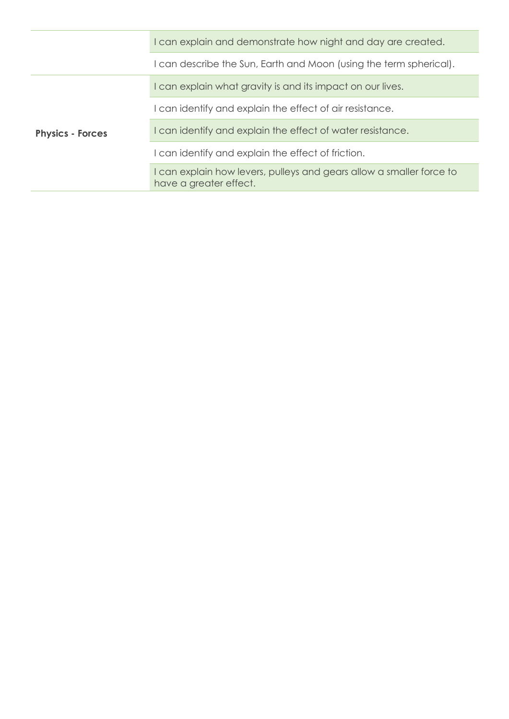|                         | I can explain and demonstrate how night and day are created.                                   |
|-------------------------|------------------------------------------------------------------------------------------------|
|                         | I can describe the Sun, Earth and Moon (using the term spherical).                             |
| <b>Physics - Forces</b> | I can explain what gravity is and its impact on our lives.                                     |
|                         | I can identify and explain the effect of air resistance.                                       |
|                         | I can identify and explain the effect of water resistance.                                     |
|                         | I can identify and explain the effect of friction.                                             |
|                         | I can explain how levers, pulleys and gears allow a smaller force to<br>have a greater effect. |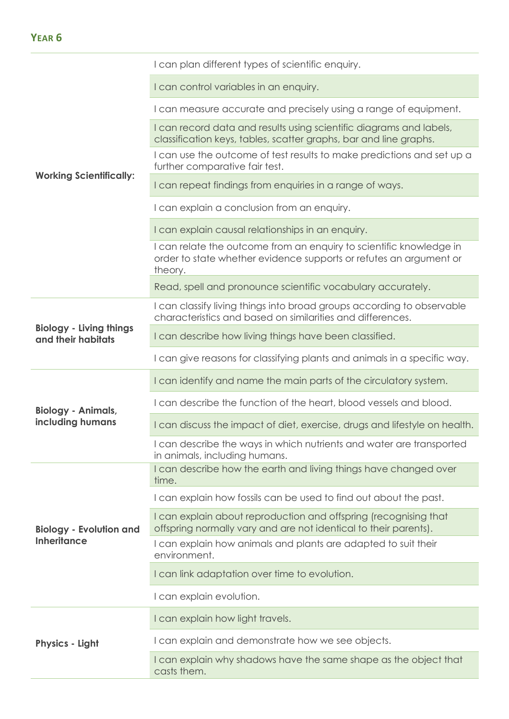## **YEAR 6**

| <b>Working Scientifically:</b>                       | I can plan different types of scientific enquiry.                                                                                                    |
|------------------------------------------------------|------------------------------------------------------------------------------------------------------------------------------------------------------|
|                                                      | I can control variables in an enquiry.                                                                                                               |
|                                                      | I can measure accurate and precisely using a range of equipment.                                                                                     |
|                                                      | I can record data and results using scientific diagrams and labels,<br>classification keys, tables, scatter graphs, bar and line graphs.             |
|                                                      | I can use the outcome of test results to make predictions and set up a<br>further comparative fair test.                                             |
|                                                      | I can repeat findings from enquiries in a range of ways.                                                                                             |
|                                                      | I can explain a conclusion from an enquiry.                                                                                                          |
|                                                      | I can explain causal relationships in an enquiry.                                                                                                    |
|                                                      | I can relate the outcome from an enquiry to scientific knowledge in<br>order to state whether evidence supports or refutes an argument or<br>theory. |
|                                                      | Read, spell and pronounce scientific vocabulary accurately.                                                                                          |
|                                                      | I can classify living things into broad groups according to observable<br>characteristics and based on similarities and differences.                 |
| <b>Biology - Living things</b><br>and their habitats | I can describe how living things have been classified.                                                                                               |
|                                                      | I can give reasons for classifying plants and animals in a specific way.                                                                             |
|                                                      |                                                                                                                                                      |
|                                                      | I can identify and name the main parts of the circulatory system.                                                                                    |
|                                                      | I can describe the function of the heart, blood vessels and blood.                                                                                   |
| <b>Biology - Animals,</b><br>including humans        | I can discuss the impact of diet, exercise, drugs and lifestyle on health.                                                                           |
|                                                      | I can describe the ways in which nutrients and water are transported<br>in animals, including humans.                                                |
|                                                      | I can describe how the earth and living things have changed over<br>time.                                                                            |
|                                                      | I can explain how fossils can be used to find out about the past.                                                                                    |
| <b>Biology - Evolution and</b>                       | I can explain about reproduction and offspring (recognising that<br>offspring normally vary and are not identical to their parents).                 |
| <b>Inheritance</b>                                   | I can explain how animals and plants are adapted to suit their<br>environment.                                                                       |
|                                                      | I can link adaptation over time to evolution.                                                                                                        |
|                                                      | I can explain evolution.                                                                                                                             |
|                                                      | I can explain how light travels.                                                                                                                     |
| <b>Physics - Light</b>                               | I can explain and demonstrate how we see objects.                                                                                                    |